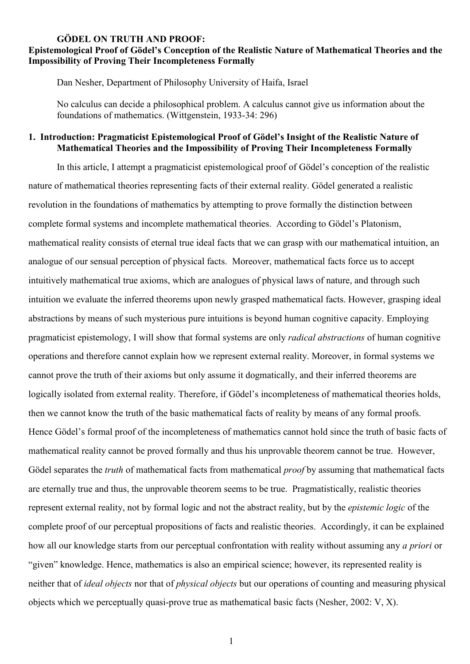### **GÖDEL ON TRUTH AND PROOF:**

## **Epistemological Proof of Gödel's Conception of the Realistic Nature of Mathematical Theories and the Impossibility of Proving Their Incompleteness Formally**

Dan Nesher, Department of Philosophy University of Haifa, Israel

No calculus can decide a philosophical problem. A calculus cannot give us information about the foundations of mathematics. (Wittgenstein, 1933-34: 296)

## **1. Introduction: Pragmaticist Epistemological Proof of Gödel's Insight of the Realistic Nature of Mathematical Theories and the Impossibility of Proving Their Incompleteness Formally**

In this article, I attempt a pragmaticist epistemological proof of Gödel's conception of the realistic nature of mathematical theories representing facts of their external reality. Gödel generated a realistic revolution in the foundations of mathematics by attempting to prove formally the distinction between complete formal systems and incomplete mathematical theories. According to Gödel's Platonism, mathematical reality consists of eternal true ideal facts that we can grasp with our mathematical intuition, an analogue of our sensual perception of physical facts. Moreover, mathematical facts force us to accept intuitively mathematical true axioms, which are analogues of physical laws of nature, and through such intuition we evaluate the inferred theorems upon newly grasped mathematical facts. However, grasping ideal abstractions by means of such mysterious pure intuitions is beyond human cognitive capacity. Employing pragmaticist epistemology, I will show that formal systems are only *radical abstractions* of human cognitive operations and therefore cannot explain how we represent external reality. Moreover, in formal systems we cannot prove the truth of their axioms but only assume it dogmatically, and their inferred theorems are logically isolated from external reality. Therefore, if Gödel's incompleteness of mathematical theories holds, then we cannot know the truth of the basic mathematical facts of reality by means of any formal proofs. Hence Gödel's formal proof of the incompleteness of mathematics cannot hold since the truth of basic facts of mathematical reality cannot be proved formally and thus his unprovable theorem cannot be true. However, Gödel separates the *truth* of mathematical facts from mathematical *proof* by assuming that mathematical facts are eternally true and thus, the unprovable theorem seems to be true. Pragmatistically, realistic theories represent external reality, not by formal logic and not the abstract reality, but by the *epistemic logic* of the complete proof of our perceptual propositions of facts and realistic theories. Accordingly, it can be explained how all our knowledge starts from our perceptual confrontation with reality without assuming any *a priori* or "given" knowledge. Hence, mathematics is also an empirical science; however, its represented reality is neither that of *ideal objects* nor that of *physical objects* but our operations of counting and measuring physical objects which we perceptually quasi-prove true as mathematical basic facts (Nesher, 2002: V, X).

1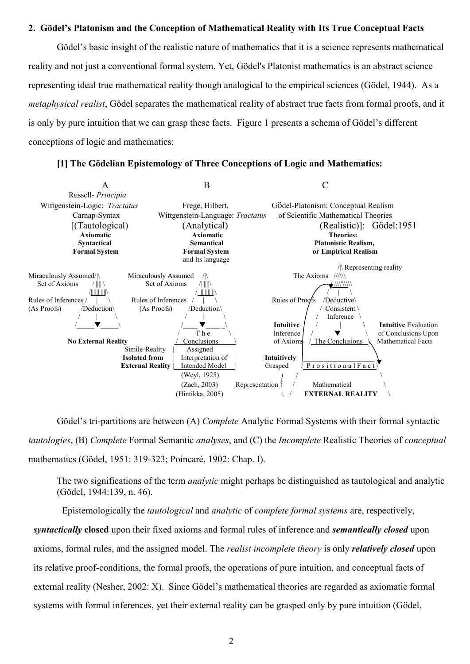#### **2. Gödel's Platonism and the Conception of Mathematical Reality with Its True Conceptual Facts**

Gödel's basic insight of the realistic nature of mathematics that it is a science represents mathematical reality and not just a conventional formal system. Yet, Gödel's Platonist mathematics is an abstract science representing ideal true mathematical reality though analogical to the empirical sciences (Gödel, 1944). As a *metaphysical realist*, Gödel separates the mathematical reality of abstract true facts from formal proofs, and it is only by pure intuition that we can grasp these facts. Figure 1 presents a schema of Gödel's different conceptions of logic and mathematics:



#### **[1] The Gödelian Epistemology of Three Conceptions of Logic and Mathematics:**

Gödel's tri-partitions are between (A) *Complete* Analytic Formal Systems with their formal syntactic *tautologies*, (B) *Complete* Formal Semantic *analyses*, and (C) the *Incomplete* Realistic Theories of *conceptual* mathematics (Gödel, 1951: 319-323; Poincaré, 1902: Chap. I).

The two significations of the term *analytic* might perhaps be distinguished as tautological and analytic (Gödel, 1944:139, n. 46).

Epistemologically the *tautological* and *analytic* of *complete formal systems* are, respectively,

*syntactically* **closed** upon their fixed axioms and formal rules of inference and *semantically closed* upon axioms, formal rules, and the assigned model. The *realist incomplete theory* is only *relatively closed* upon its relative proof-conditions, the formal proofs, the operations of pure intuition, and conceptual facts of external reality (Nesher, 2002: X). Since Gödel's mathematical theories are regarded as axiomatic formal systems with formal inferences, yet their external reality can be grasped only by pure intuition (Gödel,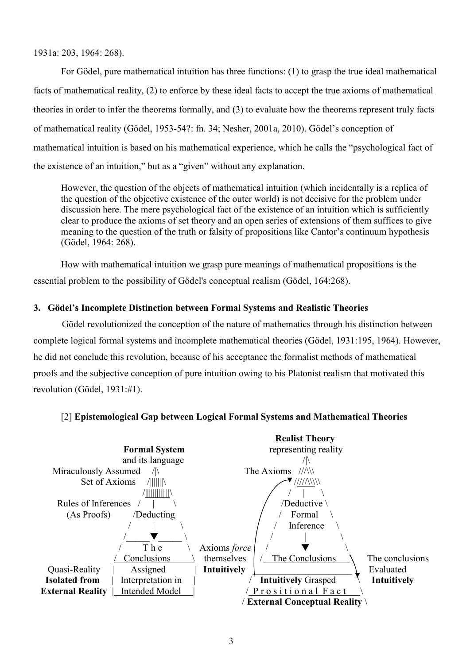1931a: 203, 1964: 268).

For Gödel, pure mathematical intuition has three functions: (1) to grasp the true ideal mathematical facts of mathematical reality, (2) to enforce by these ideal facts to accept the true axioms of mathematical theories in order to infer the theorems formally, and (3) to evaluate how the theorems represent truly facts of mathematical reality (Gödel, 1953-54?: fn. 34; Nesher, 2001a, 2010). Gödel's conception of mathematical intuition is based on his mathematical experience, which he calls the "psychological fact of the existence of an intuition," but as a "given" without any explanation.

However, the question of the objects of mathematical intuition (which incidentally is a replica of the question of the objective existence of the outer world) is not decisive for the problem under discussion here. The mere psychological fact of the existence of an intuition which is sufficiently clear to produce the axioms of set theory and an open series of extensions of them suffices to give meaning to the question of the truth or falsity of propositions like Cantor's continuum hypothesis (Gödel, 1964: 268).

How with mathematical intuition we grasp pure meanings of mathematical propositions is the essential problem to the possibility of Gödel's conceptual realism (Gödel, 164:268).

# **3. Gödel's Incomplete Distinction between Formal Systems and Realistic Theories**

Gödel revolutionized the conception of the nature of mathematics through his distinction between complete logical formal systems and incomplete mathematical theories (Gödel, 1931:195, 1964). However, he did not conclude this revolution, because of his acceptance the formalist methods of mathematical proofs and the subjective conception of pure intuition owing to his Platonist realism that motivated this revolution (Gödel, 1931:#1).



# [2] **Epistemological Gap between Logical Formal Systems and Mathematical Theories**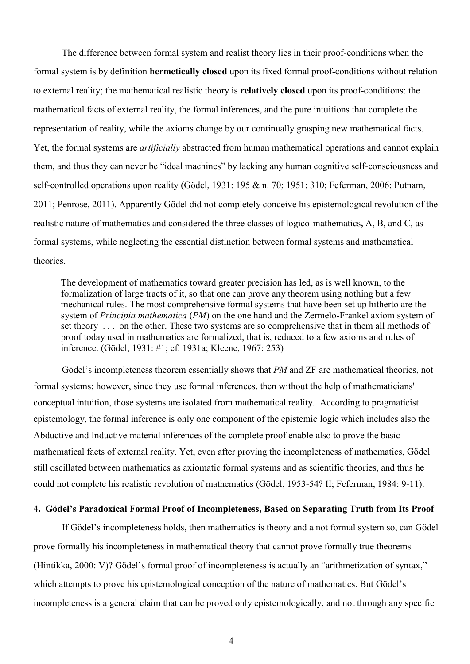The difference between formal system and realist theory lies in their proof-conditions when the formal system is by definition **hermetically closed** upon its fixed formal proof-conditions without relation to external reality; the mathematical realistic theory is **relatively closed** upon its proof-conditions: the mathematical facts of external reality, the formal inferences, and the pure intuitions that complete the representation of reality, while the axioms change by our continually grasping new mathematical facts. Yet, the formal systems are *artificially* abstracted from human mathematical operations and cannot explain them, and thus they can never be "ideal machines" by lacking any human cognitive self-consciousness and self-controlled operations upon reality (Gödel, 1931: 195 & n. 70; 1951: 310; Feferman, 2006; Putnam, 2011; Penrose, 2011). Apparently Gödel did not completely conceive his epistemological revolution of the realistic nature of mathematics and considered the three classes of logico-mathematics**,** A, B, and C, as formal systems, while neglecting the essential distinction between formal systems and mathematical theories.

The development of mathematics toward greater precision has led, as is well known, to the formalization of large tracts of it, so that one can prove any theorem using nothing but a few mechanical rules. The most comprehensive formal systems that have been set up hitherto are the system of *Principia mathematica* (*PM*) on the one hand and the Zermelo-Frankel axiom system of set theory . . . on the other. These two systems are so comprehensive that in them all methods of proof today used in mathematics are formalized, that is, reduced to a few axioms and rules of inference. (Gödel, 1931: #1; cf. 1931a; Kleene, 1967: 253)

Gödel's incompleteness theorem essentially shows that *PM* and ZF are mathematical theories, not formal systems; however, since they use formal inferences, then without the help of mathematicians' conceptual intuition, those systems are isolated from mathematical reality. According to pragmaticist epistemology, the formal inference is only one component of the epistemic logic which includes also the Abductive and Inductive material inferences of the complete proof enable also to prove the basic mathematical facts of external reality. Yet, even after proving the incompleteness of mathematics, Gödel still oscillated between mathematics as axiomatic formal systems and as scientific theories, and thus he could not complete his realistic revolution of mathematics (Gödel, 1953-54? II; Feferman, 1984: 9-11).

#### **4. Gödel's Paradoxical Formal Proof of Incompleteness, Based on Separating Truth from Its Proof**

If Gödel's incompleteness holds, then mathematics is theory and a not formal system so, can Gödel prove formally his incompleteness in mathematical theory that cannot prove formally true theorems (Hintikka, 2000: V)? Gödel's formal proof of incompleteness is actually an "arithmetization of syntax," which attempts to prove his epistemological conception of the nature of mathematics. But Gödel's incompleteness is a general claim that can be proved only epistemologically, and not through any specific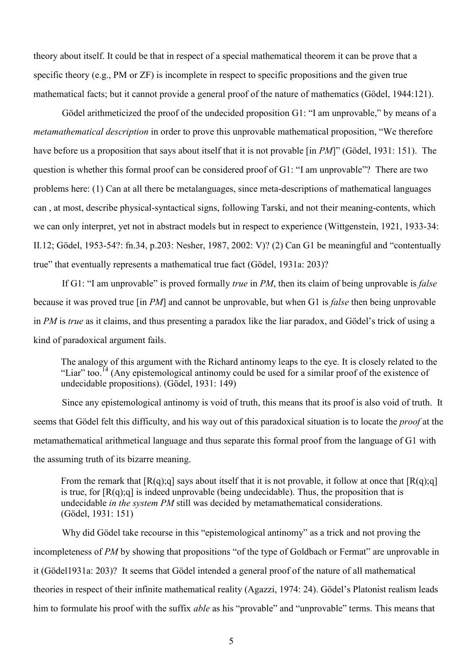theory about itself. It could be that in respect of a special mathematical theorem it can be prove that a specific theory (e.g., PM or ZF) is incomplete in respect to specific propositions and the given true mathematical facts; but it cannot provide a general proof of the nature of mathematics (Gödel, 1944:121).

Gödel arithmeticized the proof of the undecided proposition G1: "I am unprovable," by means of a *metamathematical description* in order to prove this unprovable mathematical proposition, "We therefore have before us a proposition that says about itself that it is not provable [in *PM*]" (Gödel, 1931: 151). The question is whether this formal proof can be considered proof of G1: "I am unprovable"? There are two problems here: (1) Can at all there be metalanguages, since meta-descriptions of mathematical languages can , at most, describe physical-syntactical signs, following Tarski, and not their meaning-contents, which we can only interpret, yet not in abstract models but in respect to experience (Wittgenstein, 1921, 1933-34: II.12; Gödel, 1953-54?: fn.34, p.203: Nesher, 1987, 2002: V)? (2) Can G1 be meaningful and "contentually true" that eventually represents a mathematical true fact (Gödel, 1931a: 203)?

If G1: "I am unprovable" is proved formally *true* in *PM*, then its claim of being unprovable is *false* because it was proved true [in *PM*] and cannot be unprovable, but when G1 is *false* then being unprovable in *PM* is *true* as it claims, and thus presenting a paradox like the liar paradox, and Gödel's trick of using a kind of paradoxical argument fails.

The analogy of this argument with the Richard antinomy leaps to the eye. It is closely related to the "Liar" too.<sup>14</sup> (Any epistemological antinomy could be used for a similar proof of the existence of undecidable propositions). (Gödel, 1931: 149)

Since any epistemological antinomy is void of truth, this means that its proof is also void of truth. It seems that Gödel felt this difficulty, and his way out of this paradoxical situation is to locate the *proof* at the metamathematical arithmetical language and thus separate this formal proof from the language of G1 with the assuming truth of its bizarre meaning.

From the remark that  $[R(q);q]$  says about itself that it is not provable, it follow at once that  $[R(q);q]$ is true, for  $[R(q);q]$  is indeed unprovable (being undecidable). Thus, the proposition that is undecidable *in the system PM* still was decided by metamathematical considerations. (Gödel, 1931: 151)

Why did Gödel take recourse in this "epistemological antinomy" as a trick and not proving the incompleteness of *PM* by showing that propositions "of the type of Goldbach or Fermat" are unprovable in it (Gödel1931a: 203)? It seems that Gödel intended a general proof of the nature of all mathematical theories in respect of their infinite mathematical reality (Agazzi, 1974: 24). Gödel's Platonist realism leads him to formulate his proof with the suffix *able* as his "provable" and "unprovable" terms. This means that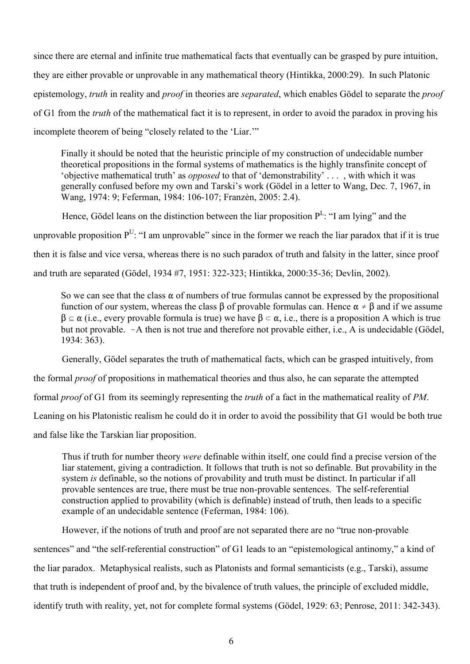since there are eternal and infinite true mathematical facts that eventually can be grasped by pure intuition, they are either provable or unprovable in any mathematical theory (Hintikka, 2000:29). In such Platonic epistemology, *truth* in reality and *proof* in theories are *separated*, which enables Gödel to separate the *proof* of G1 from the *truth* of the mathematical fact it is to represent, in order to avoid the paradox in proving his incomplete theorem of being "closely related to the 'Liar.'"

Finally it should be noted that the heuristic principle of my construction of undecidable number theoretical propositions in the formal systems of mathematics is the highly transfinite concept of 'objective mathematical truth' as *opposed* to that of 'demonstrability' . . . , with which it was generally confused before my own and Tarski's work (Gödel in a letter to Wang, Dec. 7, 1967, in Wang, 1974: 9; Feferman, 1984: 106-107; Franzèn, 2005: 2.4).

Hence, Gödel leans on the distinction between the liar proposition  $P^L$ : "I am lying" and the unprovable proposition  $P^U$ : "I am unprovable" since in the former we reach the liar paradox that if it is true then it is false and vice versa, whereas there is no such paradox of truth and falsity in the latter, since proof and truth are separated (Gödel, 1934 #7, 1951: 322-323; Hintikka, 2000:35-36; Devlin, 2002).

So we can see that the class  $\alpha$  of numbers of true formulas cannot be expressed by the propositional function of our system, whereas the class  $\beta$  of provable formulas can. Hence  $\alpha \neq \beta$  and if we assume  $\beta \subseteq \alpha$  (i.e., every provable formula is true) we have  $\beta \subset \alpha$ , i.e., there is a proposition A which is true but not provable.  $\sim$  A then is not true and therefore not provable either, i.e., A is undecidable (Gödel, 1934: 363).

Generally, Gödel separates the truth of mathematical facts, which can be grasped intuitively, from

the formal *proof* of propositions in mathematical theories and thus also, he can separate the attempted

formal *proof* of G1 from its seemingly representing the *truth* of a fact in the mathematical reality of *PM*.

Leaning on his Platonistic realism he could do it in order to avoid the possibility that G1 would be both true

and false like the Tarskian liar proposition.

Thus if truth for number theory *were* definable within itself, one could find a precise version of the liar statement, giving a contradiction. It follows that truth is not so definable. But provability in the system *is* definable, so the notions of provability and truth must be distinct. In particular if all provable sentences are true, there must be true non-provable sentences. The self-referential construction applied to provability (which is definable) instead of truth, then leads to a specific example of an undecidable sentence (Feferman, 1984: 106).

However, if the notions of truth and proof are not separated there are no "true non-provable sentences" and "the self-referential construction" of G1 leads to an "epistemological antinomy," a kind of the liar paradox. Metaphysical realists, such as Platonists and formal semanticists (e.g., Tarski), assume that truth is independent of proof and, by the bivalence of truth values, the principle of excluded middle, identify truth with reality, yet, not for complete formal systems (Gödel, 1929: 63; Penrose, 2011: 342-343).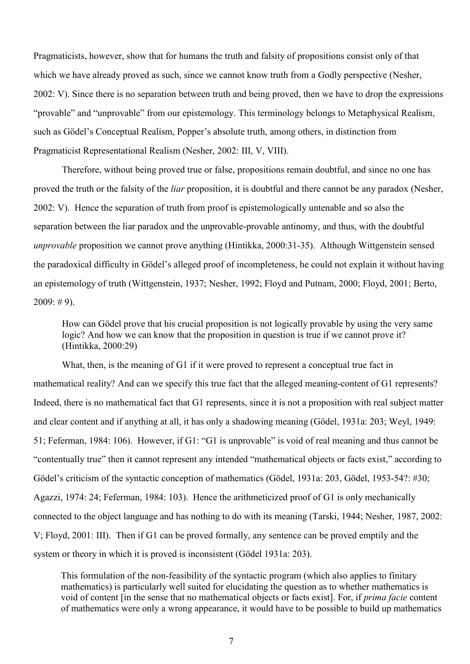Pragmaticists, however, show that for humans the truth and falsity of propositions consist only of that which we have already proved as such, since we cannot know truth from a Godly perspective (Nesher, 2002: V). Since there is no separation between truth and being proved, then we have to drop the expressions "provable" and "unprovable" from our epistemology. This terminology belongs to Metaphysical Realism, such as Gödel's Conceptual Realism, Popper's absolute truth, among others, in distinction from Pragmaticist Representational Realism (Nesher, 2002: III, V, VIII).

Therefore, without being proved true or false, propositions remain doubtful, and since no one has proved the truth or the falsity of the *liar* proposition, it is doubtful and there cannot be any paradox (Nesher, 2002: V). Hence the separation of truth from proof is epistemologically untenable and so also the separation between the liar paradox and the unprovable-provable antinomy, and thus, with the doubtful *unprovable* proposition we cannot prove anything (Hintikka, 2000:31-35). Although Wittgenstein sensed the paradoxical difficulty in Gödel's alleged proof of incompleteness, he could not explain it without having an epistemology of truth (Wittgenstein, 1937; Nesher, 1992; Floyd and Putnam, 2000; Floyd, 2001; Berto,  $2009: #9$ ).

How can Gödel prove that his crucial proposition is not logically provable by using the very same logic? And how we can know that the proposition in question is true if we cannot prove it? (Hintikka, 2000:29)

What, then, is the meaning of G1 if it were proved to represent a conceptual true fact in mathematical reality? And can we specify this true fact that the alleged meaning-content of G1 represents? Indeed, there is no mathematical fact that G1 represents, since it is not a proposition with real subject matter and clear content and if anything at all, it has only a shadowing meaning (Gödel, 1931a: 203; Weyl, 1949: 51; Feferman, 1984: 106). However, if G1: "G1 is unprovable" is void of real meaning and thus cannot be "contentually true" then it cannot represent any intended "mathematical objects or facts exist," according to Gödel's criticism of the syntactic conception of mathematics (Gödel, 1931a: 203, Gödel, 1953-54?: #30; Agazzi, 1974: 24; Feferman, 1984: 103). Hence the arithmeticized proof of G1 is only mechanically connected to the object language and has nothing to do with its meaning (Tarski, 1944; Nesher, 1987, 2002: V; Floyd, 2001: III). Then if G1 can be proved formally, any sentence can be proved emptily and the system or theory in which it is proved is inconsistent (Gödel 1931a: 203).

This formulation of the non-feasibility of the syntactic program (which also applies to finitary mathematics) is particularly well suited for elucidating the question as to whether mathematics is void of content [in the sense that no mathematical objects or facts exist]. For, if *prima facie* content of mathematics were only a wrong appearance, it would have to be possible to build up mathematics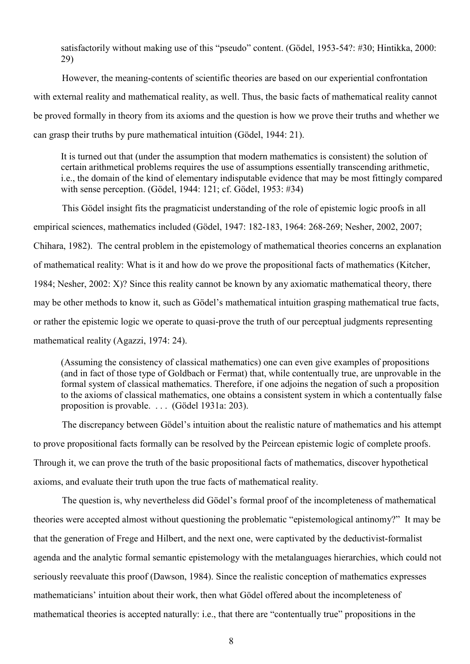satisfactorily without making use of this "pseudo" content. (Gödel, 1953-54?: #30; Hintikka, 2000: 29)

However, the meaning-contents of scientific theories are based on our experiential confrontation with external reality and mathematical reality, as well. Thus, the basic facts of mathematical reality cannot be proved formally in theory from its axioms and the question is how we prove their truths and whether we can grasp their truths by pure mathematical intuition (Gödel, 1944: 21).

It is turned out that (under the assumption that modern mathematics is consistent) the solution of certain arithmetical problems requires the use of assumptions essentially transcending arithmetic, i.e., the domain of the kind of elementary indisputable evidence that may be most fittingly compared with sense perception. (Gödel, 1944: 121; cf. Gödel, 1953: #34)

This Gödel insight fits the pragmaticist understanding of the role of epistemic logic proofs in all empirical sciences, mathematics included (Gödel, 1947: 182-183, 1964: 268-269; Nesher, 2002, 2007; Chihara, 1982). The central problem in the epistemology of mathematical theories concerns an explanation of mathematical reality: What is it and how do we prove the propositional facts of mathematics (Kitcher, 1984; Nesher, 2002: X)? Since this reality cannot be known by any axiomatic mathematical theory, there may be other methods to know it, such as Gödel's mathematical intuition grasping mathematical true facts, or rather the epistemic logic we operate to quasi-prove the truth of our perceptual judgments representing mathematical reality (Agazzi, 1974: 24).

(Assuming the consistency of classical mathematics) one can even give examples of propositions (and in fact of those type of Goldbach or Fermat) that, while contentually true, are unprovable in the formal system of classical mathematics. Therefore, if one adjoins the negation of such a proposition to the axioms of classical mathematics, one obtains a consistent system in which a contentually false proposition is provable. . . . (Gödel 1931a: 203).

The discrepancy between Gödel's intuition about the realistic nature of mathematics and his attempt to prove propositional facts formally can be resolved by the Peircean epistemic logic of complete proofs. Through it, we can prove the truth of the basic propositional facts of mathematics, discover hypothetical axioms, and evaluate their truth upon the true facts of mathematical reality.

The question is, why nevertheless did Gödel's formal proof of the incompleteness of mathematical theories were accepted almost without questioning the problematic "epistemological antinomy?" It may be that the generation of Frege and Hilbert, and the next one, were captivated by the deductivist-formalist agenda and the analytic formal semantic epistemology with the metalanguages hierarchies, which could not seriously reevaluate this proof (Dawson, 1984). Since the realistic conception of mathematics expresses mathematicians' intuition about their work, then what Gödel offered about the incompleteness of mathematical theories is accepted naturally: i.e., that there are "contentually true" propositions in the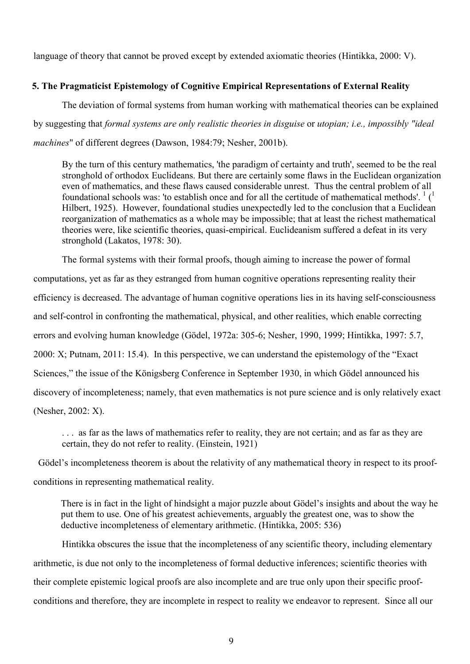language of theory that cannot be proved except by extended axiomatic theories (Hintikka, 2000: V).

## **5. The Pragmaticist Epistemology of Cognitive Empirical Representations of External Reality**

The deviation of formal systems from human working with mathematical theories can be explained by suggesting that *formal systems are only realistic theories in disguise* or *utopian; i.e., impossibly "ideal machines*" of different degrees (Dawson, 1984:79; Nesher, 2001b).

By the turn of this century mathematics, 'the paradigm of certainty and truth', seemed to be the real stronghold of orthodox Euclideans. But there are certainly some flaws in the Euclidean organization even of mathematics, and these flaws caused considerable unrest. Thus the central problem of all foundational schools was: 'to establish once and for all the certitude of mathematical methods'.<sup>1</sup> (<sup>1</sup>) Hilbert, 1925). However, foundational studies unexpectedly led to the conclusion that a Euclidean reorganization of mathematics as a whole may be impossible; that at least the richest mathematical theories were, like scientific theories, quasi-empirical. Euclideanism suffered a defeat in its very stronghold (Lakatos, 1978: 30).

The formal systems with their formal proofs, though aiming to increase the power of formal computations, yet as far as they estranged from human cognitive operations representing reality their efficiency is decreased. The advantage of human cognitive operations lies in its having self-consciousness and self-control in confronting the mathematical, physical, and other realities, which enable correcting errors and evolving human knowledge (Gödel, 1972a: 305-6; Nesher, 1990, 1999; Hintikka, 1997: 5.7, 2000: X; Putnam, 2011: 15.4). In this perspective, we can understand the epistemology of the "Exact Sciences," the issue of the Königsberg Conference in September 1930, in which Gödel announced his discovery of incompleteness; namely, that even mathematics is not pure science and is only relatively exact (Nesher, 2002: X).

. . . as far as the laws of mathematics refer to reality, they are not certain; and as far as they are certain, they do not refer to reality. (Einstein, 1921)

 Gödel's incompleteness theorem is about the relativity of any mathematical theory in respect to its proofconditions in representing mathematical reality.

There is in fact in the light of hindsight a major puzzle about Gödel's insights and about the way he put them to use. One of his greatest achievements, arguably the greatest one, was to show the deductive incompleteness of elementary arithmetic. (Hintikka, 2005: 536)

Hintikka obscures the issue that the incompleteness of any scientific theory, including elementary arithmetic, is due not only to the incompleteness of formal deductive inferences; scientific theories with their complete epistemic logical proofs are also incomplete and are true only upon their specific proofconditions and therefore, they are incomplete in respect to reality we endeavor to represent. Since all our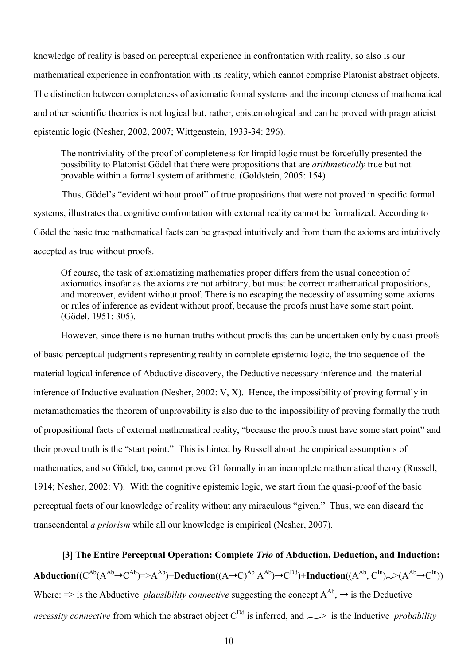knowledge of reality is based on perceptual experience in confrontation with reality, so also is our mathematical experience in confrontation with its reality, which cannot comprise Platonist abstract objects. The distinction between completeness of axiomatic formal systems and the incompleteness of mathematical and other scientific theories is not logical but, rather, epistemological and can be proved with pragmaticist epistemic logic (Nesher, 2002, 2007; Wittgenstein, 1933-34: 296).

The nontriviality of the proof of completeness for limpid logic must be forcefully presented the possibility to Platonist Gödel that there were propositions that are *arithmetically* true but not provable within a formal system of arithmetic. (Goldstein, 2005: 154)

Thus, Gödel's "evident without proof" of true propositions that were not proved in specific formal systems, illustrates that cognitive confrontation with external reality cannot be formalized. According to Gödel the basic true mathematical facts can be grasped intuitively and from them the axioms are intuitively accepted as true without proofs.

Of course, the task of axiomatizing mathematics proper differs from the usual conception of axiomatics insofar as the axioms are not arbitrary, but must be correct mathematical propositions, and moreover, evident without proof. There is no escaping the necessity of assuming some axioms or rules of inference as evident without proof, because the proofs must have some start point. (Gödel, 1951: 305).

However, since there is no human truths without proofs this can be undertaken only by quasi-proofs of basic perceptual judgments representing reality in complete epistemic logic, the trio sequence of the material logical inference of Abductive discovery, the Deductive necessary inference and the material inference of Inductive evaluation (Nesher, 2002: V, X). Hence, the impossibility of proving formally in metamathematics the theorem of unprovability is also due to the impossibility of proving formally the truth of propositional facts of external mathematical reality, "because the proofs must have some start point" and their proved truth is the "start point." This is hinted by Russell about the empirical assumptions of mathematics, and so Gödel, too, cannot prove G1 formally in an incomplete mathematical theory (Russell, 1914; Nesher, 2002: V). With the cognitive epistemic logic, we start from the quasi-proof of the basic perceptual facts of our knowledge of reality without any miraculous "given." Thus, we can discard the transcendental *a priorism* while all our knowledge is empirical (Nesher, 2007).

**[3] The Entire Perceptual Operation: Complete** *Trio* **of Abduction, Deduction, and Induction:**  $\bf{Abduction}((C^{\rm Ab}(A^{\rm Ab}\rightarrow C^{\rm Ab})=\!\!>\!\!A^{\rm Ab})+\bf{Deduction}((A\rightarrow C)^{\rm Ab}~A^{\rm Ab})\rightarrow C^{\rm Dd})+\bf{Induction}((A^{\rm Ab},C^{\rm In})\sim\!\!>\!\! (A^{\rm Ab}\rightarrow C^{\rm In}))$ Where:  $\Rightarrow$  is the Abductive *plausibility connective* suggesting the concept  $A^{Ab}$ ,  $\rightarrow$  is the Deductive *necessity connective* from which the abstract object  $C^{Dd}$  is inferred, and  $\gg$  is the Inductive *probability*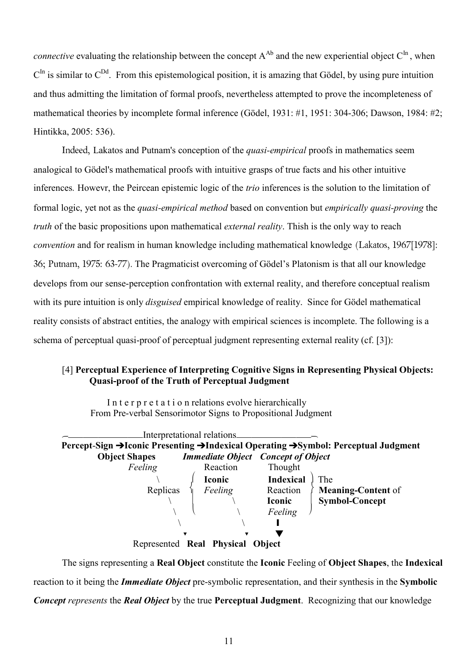*connective* evaluating the relationship between the concept  $A^{Ab}$  and the new experiential object  $C^{In}$ , when  $C<sup>In</sup>$  is similar to  $C<sup>DA</sup>$ . From this epistemological position, it is amazing that Gödel, by using pure intuition and thus admitting the limitation of formal proofs, nevertheless attempted to prove the incompleteness of mathematical theories by incomplete formal inference (Gödel, 1931: #1, 1951: 304-306; Dawson, 1984: #2; Hintikka, 2005: 536).

Indeed, Lakatos and Putnam's conception of the *quasi-empirical* proofs in mathematics seem analogical to Gödel's mathematical proofs with intuitive grasps of true facts and his other intuitive inferences. Howevr, the Peircean epistemic logic of the *trio* inferences is the solution to the limitation of formal logic, yet not as the *quasi-empirical method* based on convention but *empirically quasi-proving* the *truth* of the basic propositions upon mathematical *external reality*. Thish is the only way to reach *convention* and for realism in human knowledge including mathematical knowledge (Lakatos, 1967[1978]: 36; Putnam, 1975: 63-77). The Pragmaticist overcoming of Gödel's Platonism is that all our knowledge develops from our sense-perception confrontation with external reality, and therefore conceptual realism with its pure intuition is only *disguised* empirical knowledge of reality. Since for Gödel mathematical reality consists of abstract entities, the analogy with empirical sciences is incomplete. The following is a schema of perceptual quasi-proof of perceptual judgment representing external reality (cf. [3]):

# [4] **Perceptual Experience of Interpreting Cognitive Signs in Representing Physical Objects: Quasi-proof of the Truth of Perceptual Judgment**

In t e r p r e t a t i o n relations evolve hierarchically From Pre-verbal Sensorimotor Signs to Propositional Judgment



The signs representing a **Real Object** constitute the **Iconic** Feeling of **Object Shapes**, the **Indexical** reaction to it being the *Immediate Object* pre-symbolic representation, and their synthesis in the **Symbolic** *Concept represents* the *Real Object* by the true **Perceptual Judgment**. Recognizing that our knowledge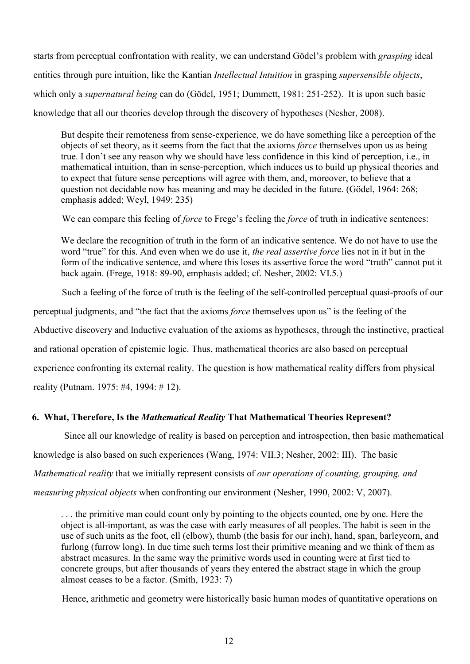starts from perceptual confrontation with reality, we can understand Gödel's problem with *grasping* ideal entities through pure intuition, like the Kantian *Intellectual Intuition* in grasping *supersensible objects*, which only a *supernatural being* can do (Gödel, 1951; Dummett, 1981: 251-252). It is upon such basic knowledge that all our theories develop through the discovery of hypotheses (Nesher, 2008).

But despite their remoteness from sense-experience, we do have something like a perception of the objects of set theory, as it seems from the fact that the axioms *force* themselves upon us as being true. I don't see any reason why we should have less confidence in this kind of perception, i.e., in mathematical intuition, than in sense-perception, which induces us to build up physical theories and to expect that future sense perceptions will agree with them, and, moreover, to believe that a question not decidable now has meaning and may be decided in the future. (Gödel, 1964: 268; emphasis added; Weyl, 1949: 235)

We can compare this feeling of *force* to Frege's feeling the *force* of truth in indicative sentences:

We declare the recognition of truth in the form of an indicative sentence. We do not have to use the word "true" for this. And even when we do use it, *the real assertive force* lies not in it but in the form of the indicative sentence, and where this loses its assertive force the word "truth" cannot put it back again. (Frege, 1918: 89-90, emphasis added; cf. Nesher, 2002: VI.5.)

Such a feeling of the force of truth is the feeling of the self-controlled perceptual quasi-proofs of our

perceptual judgments, and "the fact that the axioms *force* themselves upon us" is the feeling of the

Abductive discovery and Inductive evaluation of the axioms as hypotheses, through the instinctive, practical

and rational operation of epistemic logic. Thus, mathematical theories are also based on perceptual

experience confronting its external reality. The question is how mathematical reality differs from physical

reality (Putnam. 1975: #4, 1994: # 12).

### **6. What, Therefore, Is the** *Mathematical Reality* **That Mathematical Theories Represent?**

Since all our knowledge of reality is based on perception and introspection, then basic mathematical knowledge is also based on such experiences (Wang, 1974: VII.3; Nesher, 2002: III). The basic *Mathematical reality* that we initially represent consists of *our operations of counting, grouping, and measuring physical objects* when confronting our environment (Nesher, 1990, 2002: V, 2007).

. . . the primitive man could count only by pointing to the objects counted, one by one. Here the object is all-important, as was the case with early measures of all peoples. The habit is seen in the use of such units as the foot, ell (elbow), thumb (the basis for our inch), hand, span, barleycorn, and furlong (furrow long). In due time such terms lost their primitive meaning and we think of them as abstract measures. In the same way the primitive words used in counting were at first tied to concrete groups, but after thousands of years they entered the abstract stage in which the group almost ceases to be a factor. (Smith, 1923: 7)

Hence, arithmetic and geometry were historically basic human modes of quantitative operations on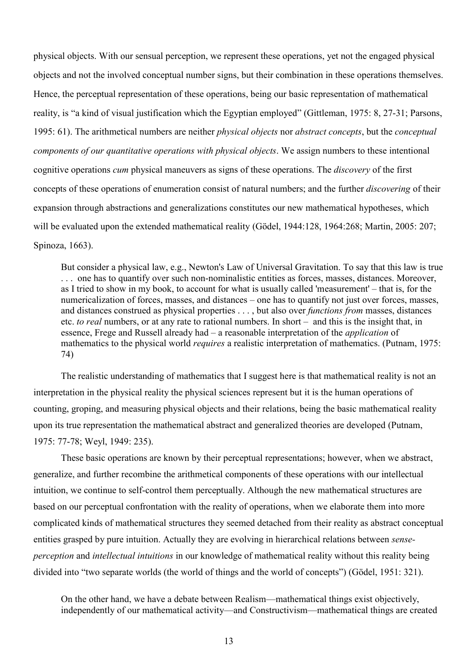physical objects. With our sensual perception, we represent these operations, yet not the engaged physical objects and not the involved conceptual number signs, but their combination in these operations themselves. Hence, the perceptual representation of these operations, being our basic representation of mathematical reality, is "a kind of visual justification which the Egyptian employed" (Gittleman, 1975: 8, 27-31; Parsons, 1995: 61). The arithmetical numbers are neither *physical objects* nor *abstract concepts*, but the *conceptual components of our quantitative operations with physical objects*. We assign numbers to these intentional cognitive operations *cum* physical maneuvers as signs of these operations. The *discovery* of the first concepts of these operations of enumeration consist of natural numbers; and the further *discovering* of their expansion through abstractions and generalizations constitutes our new mathematical hypotheses, which will be evaluated upon the extended mathematical reality (Gödel, 1944:128, 1964:268; Martin, 2005: 207; Spinoza, 1663).

But consider a physical law, e.g., Newton's Law of Universal Gravitation. To say that this law is true . . . one has to quantify over such non-nominalistic entities as forces, masses, distances. Moreover, as I tried to show in my book, to account for what is usually called 'measurement' – that is, for the numericalization of forces, masses, and distances – one has to quantify not just over forces, masses, and distances construed as physical properties . . . , but also over *functions from* masses, distances etc. *to real* numbers, or at any rate to rational numbers. In short – and this is the insight that, in essence, Frege and Russell already had – a reasonable interpretation of the *application* of mathematics to the physical world *requires* a realistic interpretation of mathematics. (Putnam, 1975: 74)

The realistic understanding of mathematics that I suggest here is that mathematical reality is not an interpretation in the physical reality the physical sciences represent but it is the human operations of counting, groping, and measuring physical objects and their relations, being the basic mathematical reality upon its true representation the mathematical abstract and generalized theories are developed (Putnam, 1975: 77-78; Weyl, 1949: 235).

These basic operations are known by their perceptual representations; however, when we abstract, generalize, and further recombine the arithmetical components of these operations with our intellectual intuition, we continue to self-control them perceptually. Although the new mathematical structures are based on our perceptual confrontation with the reality of operations, when we elaborate them into more complicated kinds of mathematical structures they seemed detached from their reality as abstract conceptual entities grasped by pure intuition. Actually they are evolving in hierarchical relations between *senseperception* and *intellectual intuitions* in our knowledge of mathematical reality without this reality being divided into "two separate worlds (the world of things and the world of concepts") (Gödel, 1951: 321).

On the other hand, we have a debate between Realism—mathematical things exist objectively, independently of our mathematical activity—and Constructivism—mathematical things are created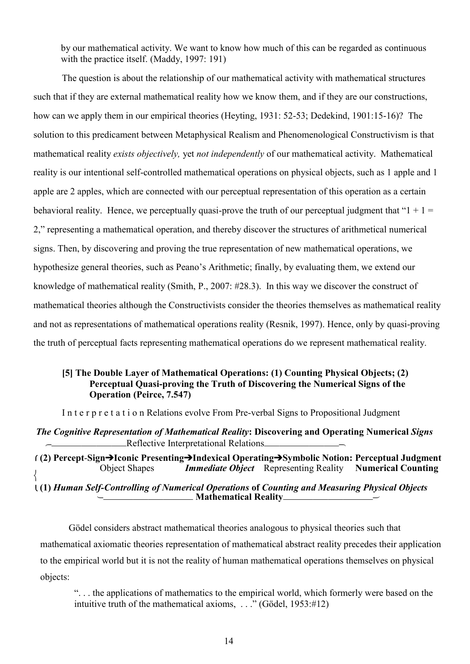by our mathematical activity. We want to know how much of this can be regarded as continuous with the practice itself. (Maddy, 1997: 191)

The question is about the relationship of our mathematical activity with mathematical structures such that if they are external mathematical reality how we know them, and if they are our constructions, how can we apply them in our empirical theories (Heyting, 1931: 52-53; Dedekind, 1901:15-16)? The solution to this predicament between Metaphysical Realism and Phenomenological Constructivism is that mathematical reality *exists objectively,* yet *not independently* of our mathematical activity. Mathematical reality is our intentional self-controlled mathematical operations on physical objects, such as 1 apple and 1 apple are 2 apples, which are connected with our perceptual representation of this operation as a certain behavioral reality. Hence, we perceptually quasi-prove the truth of our perceptual judgment that " $1 + 1 =$ 2," representing a mathematical operation, and thereby discover the structures of arithmetical numerical signs. Then, by discovering and proving the true representation of new mathematical operations, we hypothesize general theories, such as Peano's Arithmetic; finally, by evaluating them, we extend our knowledge of mathematical reality (Smith, P., 2007: #28.3). In this way we discover the construct of mathematical theories although the Constructivists consider the theories themselves as mathematical reality and not as representations of mathematical operations reality (Resnik, 1997). Hence, only by quasi-proving the truth of perceptual facts representing mathematical operations do we represent mathematical reality.

### **[5] The Double Layer of Mathematical Operations: (1) Counting Physical Objects; (2) Perceptual Quasi-proving the Truth of Discovering the Numerical Signs of the Operation (Peirce, 7.547)**

I n t e r p r e t a t i o n Relations evolve From Pre-verbal Signs to Propositional Judgment

*The Cognitive Representation of Mathematical Reality***: Discovering and Operating Numerical** *Signs* Reflective Interpretational Relations

 **(2) Percept**-**SignIconic PresentingIndexical OperatingSymbolic Notion: Perceptual Judgment** Object Shapes*Immediate Object*Representing Reality **Numerical Counting**

 **(1)** *Human Self-Controlling of Numerical Operations* **of** *Counting and Measuring Physical Objects* **Mathematical Reality**

Gödel considers abstract mathematical theories analogous to physical theories such that mathematical axiomatic theories representation of mathematical abstract reality precedes their application to the empirical world but it is not the reality of human mathematical operations themselves on physical objects:

". . . the applications of mathematics to the empirical world, which formerly were based on the intuitive truth of the mathematical axioms, . . ." (Gödel, 1953:#12)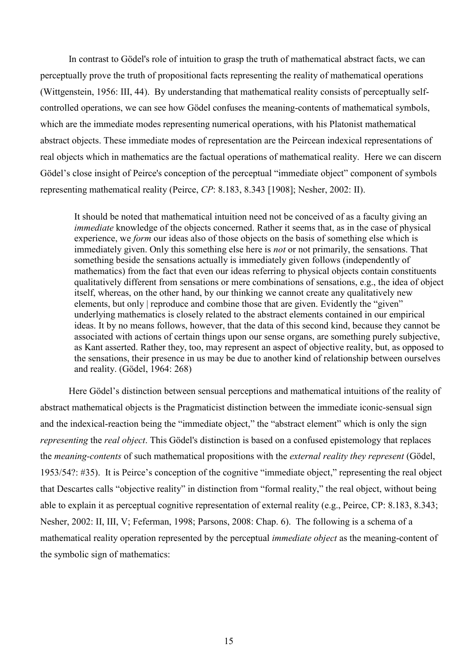In contrast to Gödel's role of intuition to grasp the truth of mathematical abstract facts, we can perceptually prove the truth of propositional facts representing the reality of mathematical operations (Wittgenstein, 1956: III, 44). By understanding that mathematical reality consists of perceptually selfcontrolled operations, we can see how Gödel confuses the meaning-contents of mathematical symbols, which are the immediate modes representing numerical operations, with his Platonist mathematical abstract objects. These immediate modes of representation are the Peircean indexical representations of real objects which in mathematics are the factual operations of mathematical reality. Here we can discern Gödel's close insight of Peirce's conception of the perceptual "immediate object" component of symbols representing mathematical reality (Peirce, *CP*: 8.183, 8.343 [1908]; Nesher, 2002: II).

It should be noted that mathematical intuition need not be conceived of as a faculty giving an *immediate* knowledge of the objects concerned. Rather it seems that, as in the case of physical experience, we *form* our ideas also of those objects on the basis of something else which is immediately given. Only this something else here is *not* or not primarily, the sensations. That something beside the sensations actually is immediately given follows (independently of mathematics) from the fact that even our ideas referring to physical objects contain constituents qualitatively different from sensations or mere combinations of sensations, e.g., the idea of object itself, whereas, on the other hand, by our thinking we cannot create any qualitatively new elements, but only | reproduce and combine those that are given. Evidently the "given" underlying mathematics is closely related to the abstract elements contained in our empirical ideas. It by no means follows, however, that the data of this second kind, because they cannot be associated with actions of certain things upon our sense organs, are something purely subjective, as Kant asserted. Rather they, too, may represent an aspect of objective reality, but, as opposed to the sensations, their presence in us may be due to another kind of relationship between ourselves and reality. (Gödel, 1964: 268)

Here Gödel's distinction between sensual perceptions and mathematical intuitions of the reality of abstract mathematical objects is the Pragmaticist distinction between the immediate iconic-sensual sign and the indexical-reaction being the "immediate object," the "abstract element" which is only the sign *representing* the *real object*. This Gödel's distinction is based on a confused epistemology that replaces the *meaning-contents* of such mathematical propositions with the *external reality they represent* (Gödel, 1953/54?: #35). It is Peirce's conception of the cognitive "immediate object," representing the real object that Descartes calls "objective reality" in distinction from "formal reality," the real object, without being able to explain it as perceptual cognitive representation of external reality (e.g., Peirce, CP: 8.183, 8.343; Nesher, 2002: II, III, V; Feferman, 1998; Parsons, 2008: Chap. 6). The following is a schema of a mathematical reality operation represented by the perceptual *immediate object* as the meaning-content of the symbolic sign of mathematics: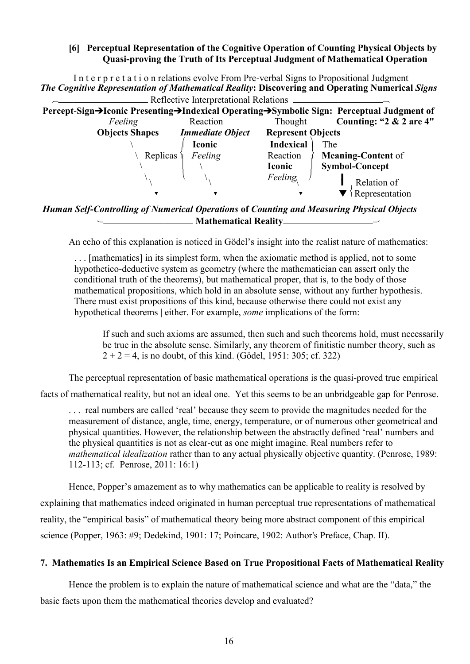## **[6] Perceptual Representation of the Cognitive Operation of Counting Physical Objects by Quasi-proving the Truth of Its Perceptual Judgment of Mathematical Operation**

In t e r p r e t a t i o n relations evolve From Pre-verbal Signs to Propositional Judgment *The Cognitive Representation of Mathematical Reality***: Discovering and Operating Numerical** *Signs* **EXECUTE:** Reflective Interpretational Relations

| Percept-Sign→Iconic Presenting→Indexical Operating→Symbolic Sign: Perceptual Judgment of |                         |                          |                            |
|------------------------------------------------------------------------------------------|-------------------------|--------------------------|----------------------------|
| Feeling                                                                                  | Reaction                | Thought                  | Counting: " $2 & 2$ are 4" |
| <b>Objects Shapes</b>                                                                    | <b>Immediate Object</b> | <b>Represent Objects</b> |                            |
|                                                                                          | <b>Iconic</b>           | <b>Indexical</b>         | The                        |
| Replicas                                                                                 | Feeling                 | Reaction                 | <b>Meaning-Content of</b>  |
|                                                                                          |                         | <b>Iconic</b>            | <b>Symbol-Concept</b>      |
|                                                                                          |                         | <b>Feeling</b>           | Relation of                |
|                                                                                          |                         |                          | Representation             |

*Human Self-Controlling of Numerical Operations* **of** *Counting and Measuring Physical Objects* **Mathematical Reality**

An echo of this explanation is noticed in Gödel's insight into the realist nature of mathematics:

. . . [mathematics] in its simplest form, when the axiomatic method is applied, not to some hypothetico-deductive system as geometry (where the mathematician can assert only the conditional truth of the theorems), but mathematical proper, that is, to the body of those mathematical propositions, which hold in an absolute sense, without any further hypothesis. There must exist propositions of this kind, because otherwise there could not exist any hypothetical theorems | either. For example, *some* implications of the form:

If such and such axioms are assumed, then such and such theorems hold, must necessarily be true in the absolute sense. Similarly, any theorem of finitistic number theory, such as  $2 + 2 = 4$ , is no doubt, of this kind. (Gödel, 1951: 305; cf. 322)

The perceptual representation of basic mathematical operations is the quasi-proved true empirical

facts of mathematical reality, but not an ideal one. Yet this seems to be an unbridgeable gap for Penrose.

. . . real numbers are called 'real' because they seem to provide the magnitudes needed for the measurement of distance, angle, time, energy, temperature, or of numerous other geometrical and physical quantities. However, the relationship between the abstractly defined 'real' numbers and the physical quantities is not as clear-cut as one might imagine. Real numbers refer to *mathematical idealization* rather than to any actual physically objective quantity. (Penrose, 1989: 112-113; cf. Penrose, 2011: 16:1)

Hence, Popper's amazement as to why mathematics can be applicable to reality is resolved by explaining that mathematics indeed originated in human perceptual true representations of mathematical reality, the "empirical basis" of mathematical theory being more abstract component of this empirical science (Popper, 1963: #9; Dedekind, 1901: 17; Poincare, 1902: Author's Preface, Chap. II).

# **7. Mathematics Is an Empirical Science Based on True Propositional Facts of Mathematical Reality**

Hence the problem is to explain the nature of mathematical science and what are the "data," the basic facts upon them the mathematical theories develop and evaluated?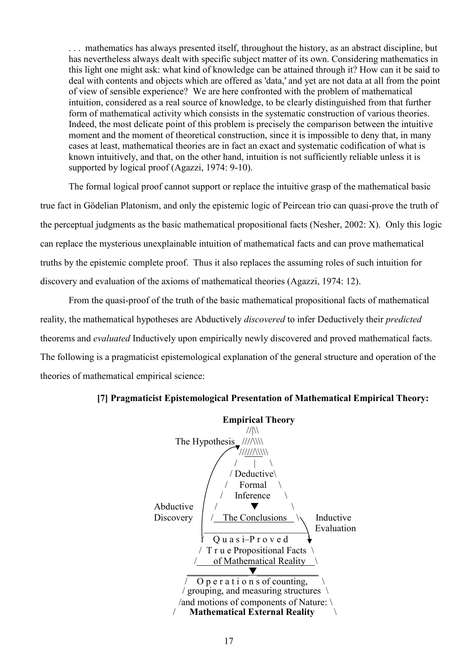. . . mathematics has always presented itself, throughout the history, as an abstract discipline, but has nevertheless always dealt with specific subject matter of its own. Considering mathematics in this light one might ask: what kind of knowledge can be attained through it? How can it be said to deal with contents and objects which are offered as 'data,' and yet are not data at all from the point of view of sensible experience? We are here confronted with the problem of mathematical intuition, considered as a real source of knowledge, to be clearly distinguished from that further form of mathematical activity which consists in the systematic construction of various theories. Indeed, the most delicate point of this problem is precisely the comparison between the intuitive moment and the moment of theoretical construction, since it is impossible to deny that, in many cases at least, mathematical theories are in fact an exact and systematic codification of what is known intuitively, and that, on the other hand, intuition is not sufficiently reliable unless it is supported by logical proof (Agazzi, 1974: 9-10).

The formal logical proof cannot support or replace the intuitive grasp of the mathematical basic true fact in Gödelian Platonism, and only the epistemic logic of Peircean trio can quasi-prove the truth of the perceptual judgments as the basic mathematical propositional facts (Nesher, 2002: X). Only this logic can replace the mysterious unexplainable intuition of mathematical facts and can prove mathematical truths by the epistemic complete proof. Thus it also replaces the assuming roles of such intuition for discovery and evaluation of the axioms of mathematical theories (Agazzi, 1974: 12).

From the quasi-proof of the truth of the basic mathematical propositional facts of mathematical reality, the mathematical hypotheses are Abductively *discovered* to infer Deductively their *predicted* theorems and *evaluated* Inductively upon empirically newly discovered and proved mathematical facts. The following is a pragmaticist epistemological explanation of the general structure and operation of the theories of mathematical empirical science:



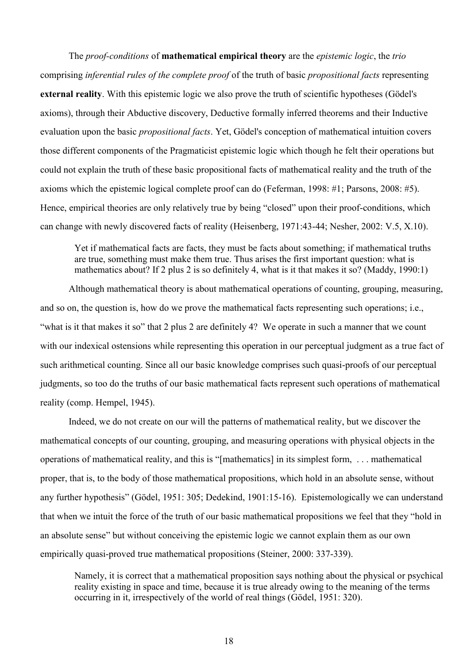The *proof-conditions* of **mathematical empirical theory** are the *epistemic logic*, the *trio* comprising *inferential rules of the complete proof* of the truth of basic *propositional facts* representing **external reality**. With this epistemic logic we also prove the truth of scientific hypotheses (Gödel's axioms), through their Abductive discovery, Deductive formally inferred theorems and their Inductive evaluation upon the basic *propositional facts*. Yet, Gödel's conception of mathematical intuition covers those different components of the Pragmaticist epistemic logic which though he felt their operations but could not explain the truth of these basic propositional facts of mathematical reality and the truth of the axioms which the epistemic logical complete proof can do (Feferman, 1998: #1; Parsons, 2008: #5). Hence, empirical theories are only relatively true by being "closed" upon their proof-conditions, which can change with newly discovered facts of reality (Heisenberg, 1971:43-44; Nesher, 2002: V.5, X.10).

Yet if mathematical facts are facts, they must be facts about something; if mathematical truths are true, something must make them true. Thus arises the first important question: what is mathematics about? If 2 plus 2 is so definitely 4, what is it that makes it so? (Maddy, 1990:1)

Although mathematical theory is about mathematical operations of counting, grouping, measuring, and so on, the question is, how do we prove the mathematical facts representing such operations; i.e., "what is it that makes it so" that 2 plus 2 are definitely 4? We operate in such a manner that we count with our indexical ostensions while representing this operation in our perceptual judgment as a true fact of such arithmetical counting. Since all our basic knowledge comprises such quasi-proofs of our perceptual judgments, so too do the truths of our basic mathematical facts represent such operations of mathematical reality (comp. Hempel, 1945).

Indeed, we do not create on our will the patterns of mathematical reality, but we discover the mathematical concepts of our counting, grouping, and measuring operations with physical objects in the operations of mathematical reality, and this is "[mathematics] in its simplest form, . . . mathematical proper, that is, to the body of those mathematical propositions, which hold in an absolute sense, without any further hypothesis" (Gödel, 1951: 305; Dedekind, 1901:15-16). Epistemologically we can understand that when we intuit the force of the truth of our basic mathematical propositions we feel that they "hold in an absolute sense" but without conceiving the epistemic logic we cannot explain them as our own empirically quasi-proved true mathematical propositions (Steiner, 2000: 337-339).

Namely, it is correct that a mathematical proposition says nothing about the physical or psychical reality existing in space and time, because it is true already owing to the meaning of the terms occurring in it, irrespectively of the world of real things (Gödel, 1951: 320).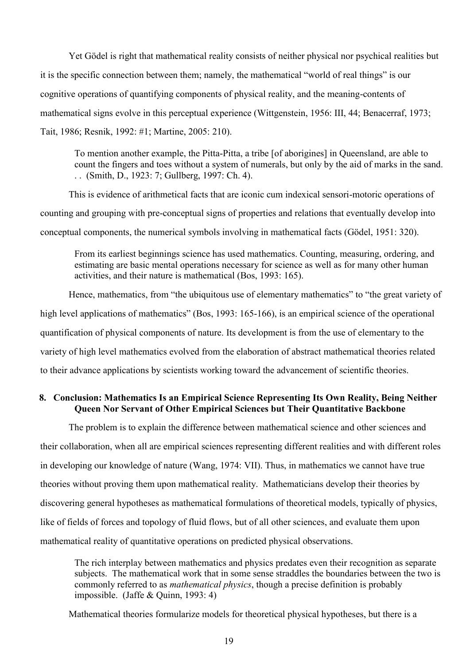Yet Gödel is right that mathematical reality consists of neither physical nor psychical realities but it is the specific connection between them; namely, the mathematical "world of real things" is our cognitive operations of quantifying components of physical reality, and the meaning-contents of mathematical signs evolve in this perceptual experience (Wittgenstein, 1956: III, 44; Benacerraf, 1973; Tait, 1986; Resnik, 1992: #1; Martine, 2005: 210).

To mention another example, the Pitta-Pitta, a tribe [of aborigines] in Queensland, are able to count the fingers and toes without a system of numerals, but only by the aid of marks in the sand. . . (Smith, D., 1923: 7; Gullberg, 1997: Ch. 4).

This is evidence of arithmetical facts that are iconic cum indexical sensori-motoric operations of counting and grouping with pre-conceptual signs of properties and relations that eventually develop into conceptual components, the numerical symbols involving in mathematical facts (Gödel, 1951: 320).

From its earliest beginnings science has used mathematics. Counting, measuring, ordering, and estimating are basic mental operations necessary for science as well as for many other human activities, and their nature is mathematical (Bos, 1993: 165).

Hence, mathematics, from "the ubiquitous use of elementary mathematics" to "the great variety of high level applications of mathematics" (Bos, 1993: 165-166), is an empirical science of the operational quantification of physical components of nature. Its development is from the use of elementary to the variety of high level mathematics evolved from the elaboration of abstract mathematical theories related to their advance applications by scientists working toward the advancement of scientific theories.

## **8. Conclusion: Mathematics Is an Empirical Science Representing Its Own Reality, Being Neither Queen Nor Servant of Other Empirical Sciences but Their Quantitative Backbone**

The problem is to explain the difference between mathematical science and other sciences and their collaboration, when all are empirical sciences representing different realities and with different roles in developing our knowledge of nature (Wang, 1974: VII). Thus, in mathematics we cannot have true theories without proving them upon mathematical reality. Mathematicians develop their theories by discovering general hypotheses as mathematical formulations of theoretical models, typically of physics, like of fields of forces and topology of fluid flows, but of all other sciences, and evaluate them upon mathematical reality of quantitative operations on predicted physical observations.

The rich interplay between mathematics and physics predates even their recognition as separate subjects. The mathematical work that in some sense straddles the boundaries between the two is commonly referred to as *mathematical physics*, though a precise definition is probably impossible. (Jaffe & Quinn, 1993: 4)

Mathematical theories formularize models for theoretical physical hypotheses, but there is a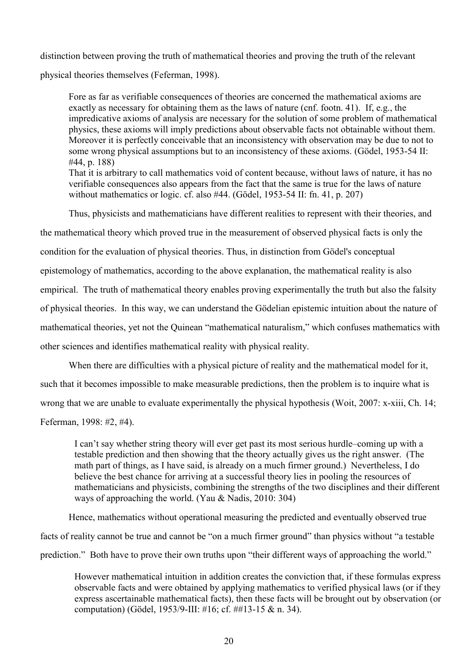distinction between proving the truth of mathematical theories and proving the truth of the relevant physical theories themselves (Feferman, 1998).

Fore as far as verifiable consequences of theories are concerned the mathematical axioms are exactly as necessary for obtaining them as the laws of nature (cnf. footn. 41). If, e.g., the impredicative axioms of analysis are necessary for the solution of some problem of mathematical physics, these axioms will imply predictions about observable facts not obtainable without them. Moreover it is perfectly conceivable that an inconsistency with observation may be due to not to some wrong physical assumptions but to an inconsistency of these axioms. (Gödel, 1953-54 II: #44, p. 188) That it is arbitrary to call mathematics void of content because, without laws of nature, it has no verifiable consequences also appears from the fact that the same is true for the laws of nature

without mathematics or logic. cf. also #44. (Gödel, 1953-54 II: fn. 41, p. 207)

Thus, physicists and mathematicians have different realities to represent with their theories, and

the mathematical theory which proved true in the measurement of observed physical facts is only the

condition for the evaluation of physical theories. Thus, in distinction from Gödel's conceptual

epistemology of mathematics, according to the above explanation, the mathematical reality is also

empirical. The truth of mathematical theory enables proving experimentally the truth but also the falsity

of physical theories. In this way, we can understand the Gödelian epistemic intuition about the nature of

mathematical theories, yet not the Quinean "mathematical naturalism," which confuses mathematics with

other sciences and identifies mathematical reality with physical reality.

When there are difficulties with a physical picture of reality and the mathematical model for it, such that it becomes impossible to make measurable predictions, then the problem is to inquire what is wrong that we are unable to evaluate experimentally the physical hypothesis (Woit, 2007: x-xiii, Ch. 14; Feferman, 1998: #2, #4).

I can't say whether string theory will ever get past its most serious hurdle–coming up with a testable prediction and then showing that the theory actually gives us the right answer. (The math part of things, as I have said, is already on a much firmer ground.) Nevertheless, I do believe the best chance for arriving at a successful theory lies in pooling the resources of mathematicians and physicists, combining the strengths of the two disciplines and their different ways of approaching the world. (Yau & Nadis, 2010: 304)

Hence, mathematics without operational measuring the predicted and eventually observed true facts of reality cannot be true and cannot be "on a much firmer ground" than physics without "a testable prediction." Both have to prove their own truths upon "their different ways of approaching the world."

However mathematical intuition in addition creates the conviction that, if these formulas express observable facts and were obtained by applying mathematics to verified physical laws (or if they express ascertainable mathematical facts), then these facts will be brought out by observation (or computation) (Gödel, 1953/9-III: #16; cf. ##13-15 & n. 34).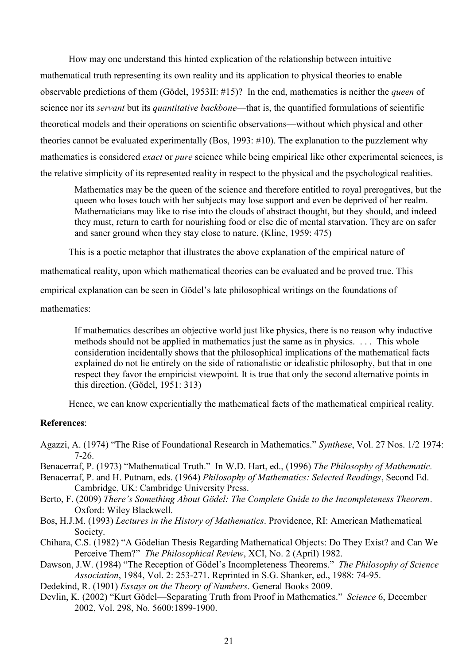How may one understand this hinted explication of the relationship between intuitive mathematical truth representing its own reality and its application to physical theories to enable observable predictions of them (Gödel, 1953II: #15)? In the end, mathematics is neither the *queen* of science nor its *servant* but its *quantitative backbone*—that is, the quantified formulations of scientific theoretical models and their operations on scientific observations—without which physical and other theories cannot be evaluated experimentally (Bos, 1993: #10). The explanation to the puzzlement why mathematics is considered *exact* or *pure* science while being empirical like other experimental sciences, is the relative simplicity of its represented reality in respect to the physical and the psychological realities.

Mathematics may be the queen of the science and therefore entitled to royal prerogatives, but the queen who loses touch with her subjects may lose support and even be deprived of her realm. Mathematicians may like to rise into the clouds of abstract thought, but they should, and indeed they must, return to earth for nourishing food or else die of mental starvation. They are on safer and saner ground when they stay close to nature. (Kline, 1959: 475)

This is a poetic metaphor that illustrates the above explanation of the empirical nature of

mathematical reality, upon which mathematical theories can be evaluated and be proved true. This

empirical explanation can be seen in Gödel's late philosophical writings on the foundations of

mathematics:

If mathematics describes an objective world just like physics, there is no reason why inductive methods should not be applied in mathematics just the same as in physics. . . . This whole consideration incidentally shows that the philosophical implications of the mathematical facts explained do not lie entirely on the side of rationalistic or idealistic philosophy, but that in one respect they favor the empiricist viewpoint. It is true that only the second alternative points in this direction. (Gödel, 1951: 313)

Hence, we can know experientially the mathematical facts of the mathematical empirical reality.

#### **References**:

Agazzi, A. (1974) "The Rise of Foundational Research in Mathematics." *Synthese*, Vol. 27 Nos. 1/2 1974: 7-26.

- Benacerraf, P. (1973) "Mathematical Truth." In W.D. Hart, ed., (1996) *The Philosophy of Mathematic.*
- Benacerraf, P. and H. Putnam, eds. (1964) *Philosophy of Mathematics: Selected Readings*, Second Ed. Cambridge, UK: Cambridge University Press.
- Berto, F. (2009) *There's Something About Gödel: The Complete Guide to the Incompleteness Theorem*. Oxford: Wiley Blackwell.
- Bos, H.J.M. (1993) *Lectures in the History of Mathematics*. Providence, RI: American Mathematical Society.
- Chihara, C.S. (1982) "A Gödelian Thesis Regarding Mathematical Objects: Do They Exist? and Can We Perceive Them?" *The Philosophical Review*, XCI, No. 2 (April) 1982.
- Dawson, J.W. (1984) "The Reception of Gödel's Incompleteness Theorems." *The Philosophy of Science Association*, 1984, Vol. 2: 253-271. Reprinted in S.G. Shanker, ed., 1988: 74-95.
- Dedekind, R. (1901) *Essays on the Theory of Numbers*. General Books 2009.
- Devlin, K. (2002) "Kurt Gödel—Separating Truth from Proof in Mathematics." *Science* 6, December 2002, Vol. 298, No. 5600:1899-1900.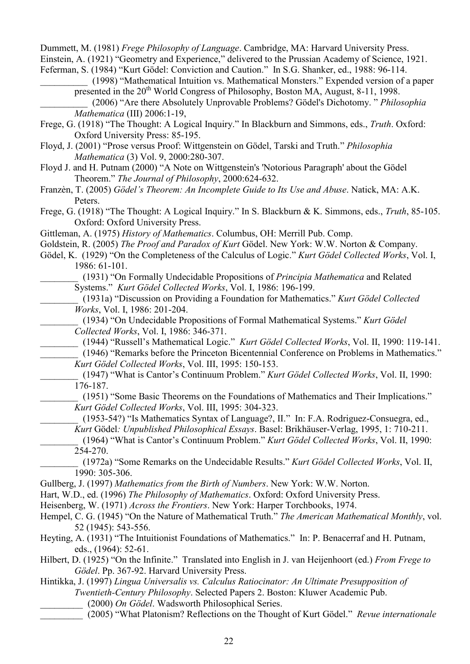Dummett, M. (1981) *Frege Philosophy of Language*. Cambridge, MA: Harvard University Press.

Einstein, A. (1921) "Geometry and Experience," delivered to the Prussian Academy of Science, 1921.

Feferman, S. (1984) "Kurt Gödel: Conviction and Caution." In S.G. Shanker, ed., 1988: 96-114. \_\_\_\_\_\_\_\_\_\_ (1998) "Mathematical Intuition vs. Mathematical Monsters." Expended version of a paper

presented in the  $20^{th}$  World Congress of Philosophy, Boston MA, August, 8-11, 1998. \_\_\_\_\_\_\_\_\_\_ (2006) "Are there Absolutely Unprovable Problems? Gödel's Dichotomy. " *Philosophia* 

*Mathematica* (III) 2006:1-19,

Frege, G. (1918) "The Thought: A Logical Inquiry." In Blackburn and Simmons, eds., *Truth*. Oxford: Oxford University Press: 85-195.

- Floyd, J. (2001) "Prose versus Proof: Wittgenstein on Gödel, Tarski and Truth." *Philosophia Mathematica* (3) Vol. 9, 2000:280-307.
- Floyd J. and H. Putnam (2000) "A Note on Wittgenstein's 'Notorious Paragraph' about the Gödel Theorem." *The Journal of Philosophy*, 2000:624-632.
- Franzèn, T. (2005) *Gödel's Theorem: An Incomplete Guide to Its Use and Abuse*. Natick, MA: A.K. Peters.
- Frege, G. (1918) "The Thought: A Logical Inquiry." In S. Blackburn & K. Simmons, eds., *Truth*, 85-105. Oxford: Oxford University Press.

Gittleman, A. (1975) *History of Mathematics*. Columbus, OH: Merrill Pub. Comp.

- Goldstein, R. (2005) *The Proof and Paradox of Kurt* Gödel. New York: W.W. Norton & Company.
- Gödel, K. (1929) "On the Completeness of the Calculus of Logic." *Kurt Gödel Collected Works*, Vol. I, 1986: 61-101.

\_\_\_\_\_\_\_\_ (1931) "On Formally Undecidable Propositions of *Principia Mathematica* and Related Systems." *Kurt Gödel Collected Works*, Vol. I, 1986: 196-199.

\_\_\_\_\_\_\_\_ (1931a) "Discussion on Providing a Foundation for Mathematics." *Kurt Gödel Collected Works*, Vol. I, 1986: 201-204.

\_\_\_\_\_\_\_\_ (1934) "On Undecidable Propositions of Formal Mathematical Systems." *Kurt Gödel Collected Works*, Vol. I, 1986: 346-371.

\_\_\_\_\_\_\_\_ (1944) "Russell's Mathematical Logic." *Kurt Gödel Collected Works*, Vol. II, 1990: 119-141.

(1946) "Remarks before the Princeton Bicentennial Conference on Problems in Mathematics." *Kurt Gödel Collected Works*, Vol. III, 1995: 150-153.

\_\_\_\_\_\_\_\_ (1947) "What is Cantor's Continuum Problem." *Kurt Gödel Collected Works*, Vol. II, 1990: 176-187.

\_\_\_\_\_\_\_\_ (1951) "Some Basic Theorems on the Foundations of Mathematics and Their Implications." *Kurt Gödel Collected Works*, Vol. III, 1995: 304-323.

\_\_\_\_\_\_\_\_ (1953-54?) "Is Mathematics Syntax of Language?, II." In: F.A. Rodriguez-Consuegra, ed., *Kurt* Gödel*: Unpublished Philosophical Essays*. Basel: Brikhäuser-Verlag, 1995, 1: 710-211.

\_\_\_\_\_\_\_\_ (1964) "What is Cantor's Continuum Problem." *Kurt Gödel Collected Works*, Vol. II, 1990: 254-270.

\_\_\_\_\_\_\_\_ (1972a) "Some Remarks on the Undecidable Results." *Kurt Gödel Collected Works*, Vol. II, 1990: 305-306.

- Gullberg, J. (1997) *Mathematics from the Birth of Numbers*. New York: W.W. Norton.
- Hart, W.D., ed. (1996) *The Philosophy of Mathematics*. Oxford: Oxford University Press.

Heisenberg, W. (1971) *Across the Frontiers*. New York: Harper Torchbooks, 1974.

- Hempel, C. G. (1945) "On the Nature of Mathematical Truth." *The American Mathematical Monthly*, vol. 52 (1945): 543-556.
- Heyting, A. (1931) "The Intuitionist Foundations of Mathematics." In: P. Benacerraf and H. Putnam, eds., (1964): 52-61.
- Hilbert, D. (1925) "On the Infinite." Translated into English in J. van Heijenhoort (ed.) *From Frege to Gödel*. Pp. 367-92. Harvard University Press.

Hintikka, J. (1997) *Lingua Universalis vs. Calculus Ratiocinator: An Ultimate Presupposition of Twentieth-Century Philosophy*. Selected Papers 2. Boston: Kluwer Academic Pub.

- \_\_\_\_\_\_\_\_\_ (2000) *On Gödel*. Wadsworth Philosophical Series.
- \_\_\_\_\_\_\_\_\_ (2005) "What Platonism? Reflections on the Thought of Kurt Gödel." *Revue internationale*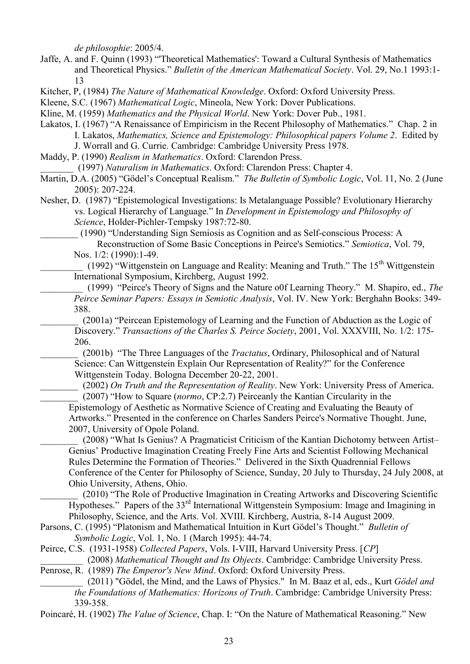*de philosophie*: 2005/4.

Jaffe, A. and F. Quinn (1993) "'Theoretical Mathematics': Toward a Cultural Synthesis of Mathematics and Theoretical Physics." *Bulletin of the American Mathematical Society*. Vol. 29, No.1 1993:1- 13

Kitcher, P, (1984) *The Nature of Mathematical Knowledge*. Oxford: Oxford University Press.

Kleene, S.C. (1967) *Mathematical Logic*, Mineola, New York: Dover Publications.

Kline, M. (1959) *Mathematics and the Physical World*. New York: Dover Pub., 1981.

Lakatos, I. (1967) "A Renaissance of Empiricism in the Recent Philosophy of Mathematics." Chap. 2 in I. Lakatos, *Mathematics, Science and Epistemology: Philosophical papers Volume 2*. Edited by

J. Worrall and G. Currie. Cambridge: Cambridge University Press 1978.

Maddy, P. (1990) *Realism in Mathematics*. Oxford: Clarendon Press.

\_\_\_\_\_\_\_ (1997) *Naturalism in Mathematics*. Oxford: Clarendon Press: Chapter 4.

Martin, D.A. (2005) "Gödel's Conceptual Realism." *The Bulletin of Symbolic Logic*, Vol. 11, No. 2 (June 2005): 207-224.

Nesher, D. (1987) "Epistemological Investigations: Is Metalanguage Possible? Evolutionary Hierarchy vs. Logical Hierarchy of Language." In *Development in Epistemology and Philosophy of Science*, Holder-Pichler-Tempsky 1987:72-80.

\_\_\_\_\_\_\_\_ (1990) "Understanding Sign Semiosis as Cognition and as Self-conscious Process: A Reconstruction of Some Basic Conceptions in Peirce's Semiotics." *Semiotica*, Vol. 79, Nos. 1/2: (1990):1-49.

(1992) "Wittgenstein on Language and Reality: Meaning and Truth." The 15<sup>th</sup> Wittgenstein International Symposium, Kirchberg, August 1992.

\_\_\_\_\_\_\_\_\_ (1999) "Peirce's Theory of Signs and the Nature o0f Learning Theory." M. Shapiro, ed., *The Peirce Seminar Papers: Essays in Semiotic Analysis*, Vol. IV. New York: Berghahn Books: 349- 388.

\_\_\_\_\_\_\_\_ (2001a) "Peircean Epistemology of Learning and the Function of Abduction as the Logic of Discovery." *Transactions of the Charles S. Peirce Society*, 2001, Vol. XXXVIII, No. 1/2: 175- 206.

\_\_\_\_\_\_\_\_ (2001b) "The Three Languages of the *Tractatus*, Ordinary, Philosophical and of Natural Science: Can Wittgenstein Explain Our Representation of Reality?" for the Conference Wittgenstein Today. Bologna December 20-22, 2001.

\_\_\_\_\_\_\_\_ (2002) *On Truth and the Representation of Reality*. New York: University Press of America. \_\_\_\_\_\_\_\_ (2007) "How to Square (*normo*, CP:2.7) Peirceanly the Kantian Circularity in the Epistemology of Aesthetic as Normative Science of Creating and Evaluating the Beauty of Artworks." Presented in the conference on Charles Sanders Peirce's Normative Thought. June, 2007, University of Opole Poland.

(2008) "What Is Genius? A Pragmaticist Criticism of the Kantian Dichotomy between Artist– Genius' Productive Imagination Creating Freely Fine Arts and Scientist Following Mechanical Rules Determine the Formation of Theories." Delivered in the Sixth Quadrennial Fellows Conference of the Center for Philosophy of Science, Sunday, 20 July to Thursday, 24 July 2008, at Ohio University, Athens, Ohio.

(2010) "The Role of Productive Imagination in Creating Artworks and Discovering Scientific  $\overline{H}$ ypotheses." Papers of the 33<sup>rd</sup> International Wittgenstein Symposium: Image and Imagining in Philosophy, Science, and the Arts. Vol. XVIII. Kirchberg, Austria, 8-14 August 2009.

Parsons, C. (1995) "Platonism and Mathematical Intuition in Kurt Gödel's Thought." *Bulletin of Symbolic Logic*, Vol. 1, No. 1 (March 1995): 44-74.

Peirce, C.S. (1931-1958) *Collected Papers*, Vols. I-VIII, Harvard University Press. [*CP*] \_\_\_\_\_\_\_\_\_ (2008) *Mathematical Thought and Its Objects*. Cambridge: Cambridge University Press.

Penrose, R. (1989) *The Emperor's New Mind*. Oxford: Oxford University Press.

\_\_\_\_\_\_\_\_\_ (2011) "Gödel, the Mind, and the Laws of Physics." In M. Baaz et al, eds., Kurt *Gödel and the Foundations of Mathematics: Horizons of Truth*. Cambridge: Cambridge University Press: 339-358.

Poincaré, H. (1902) *The Value of Science*, Chap. I: "On the Nature of Mathematical Reasoning." New